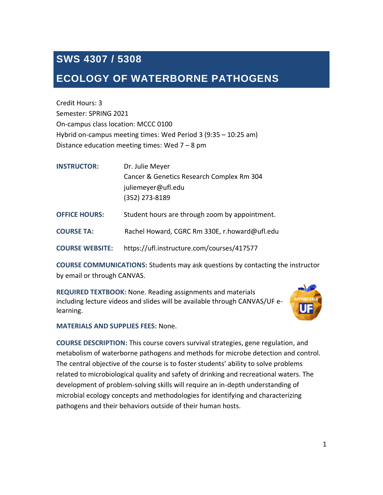# **SWS 4307 / 5308**

## **ECOLOGY OF WATERBORNE PATHOGENS**

Credit Hours: 3 Semester: SPRING 2021 On-campus class location: MCCC 0100 Hybrid on-campus meeting times: Wed Period 3 (9:35 – 10:25 am) Distance education meeting times: Wed 7 – 8 pm

| <b>INSTRUCTOR:</b>     | Dr. Julie Meyer                                |  |
|------------------------|------------------------------------------------|--|
|                        | Cancer & Genetics Research Complex Rm 304      |  |
|                        | juliemeyer@ufl.edu                             |  |
|                        | (352) 273-8189                                 |  |
| <b>OFFICE HOURS:</b>   | Student hours are through zoom by appointment. |  |
| <b>COURSE TA:</b>      | Rachel Howard, CGRC Rm 330E, r.howard@ufl.edu  |  |
| <b>COURSE WEBSITE:</b> | https://ufl.instructure.com/courses/417577     |  |

**COURSE COMMUNICATIONS:** Students may ask questions by contacting the instructor by email or through CANVAS.

**REQUIRED TEXTBOOK:** None. Reading assignments and materials including lecture videos and slides will be available through CANVAS/UF elearning.



**MATERIALS AND SUPPLIES FEES:** None.

**COURSE DESCRIPTION:** This course covers survival strategies, gene regulation, and metabolism of waterborne pathogens and methods for microbe detection and control. The central objective of the course is to foster students' ability to solve problems related to microbiological quality and safety of drinking and recreational waters. The development of problem-solving skills will require an in-depth understanding of microbial ecology concepts and methodologies for identifying and characterizing pathogens and their behaviors outside of their human hosts.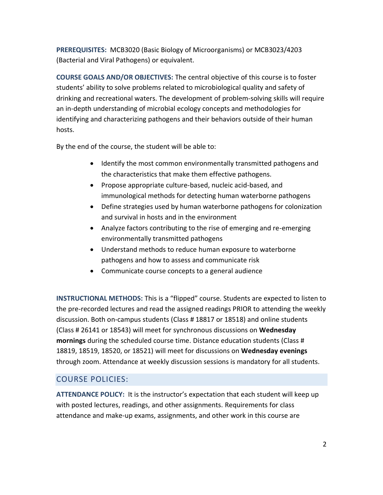**PREREQUISITES:** MCB3020 (Basic Biology of Microorganisms) or MCB3023/4203 (Bacterial and Viral Pathogens) or equivalent.

**COURSE GOALS AND/OR OBJECTIVES:** The central objective of this course is to foster students' ability to solve problems related to microbiological quality and safety of drinking and recreational waters. The development of problem-solving skills will require an in-depth understanding of microbial ecology concepts and methodologies for identifying and characterizing pathogens and their behaviors outside of their human hosts.

By the end of the course, the student will be able to:

- Identify the most common environmentally transmitted pathogens and the characteristics that make them effective pathogens.
- Propose appropriate culture-based, nucleic acid-based, and immunological methods for detecting human waterborne pathogens
- Define strategies used by human waterborne pathogens for colonization and survival in hosts and in the environment
- Analyze factors contributing to the rise of emerging and re-emerging environmentally transmitted pathogens
- Understand methods to reduce human exposure to waterborne pathogens and how to assess and communicate risk
- Communicate course concepts to a general audience

**INSTRUCTIONAL METHODS:** This is a "flipped" course. Students are expected to listen to the pre-recorded lectures and read the assigned readings PRIOR to attending the weekly discussion. Both on-campus students (Class # 18817 or 18518) and online students (Class # 26141 or 18543) will meet for synchronous discussions on **Wednesday mornings** during the scheduled course time. Distance education students (Class # 18819, 18519, 18520, or 18521) will meet for discussions on **Wednesday evenings** through zoom. Attendance at weekly discussion sessions is mandatory for all students.

## COURSE POLICIES:

**ATTENDANCE POLICY:** It is the instructor's expectation that each student will keep up with posted lectures, readings, and other assignments. Requirements for class attendance and make-up exams, assignments, and other work in this course are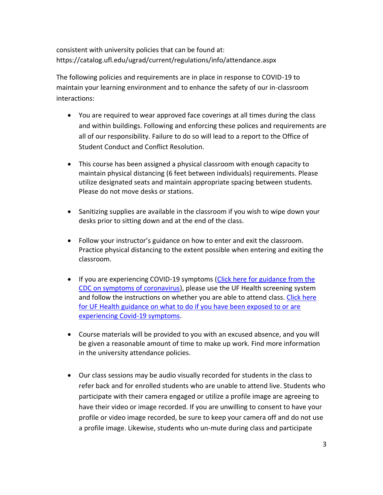consistent with university policies that can be found at: https://catalog.ufl.edu/ugrad/current/regulations/info/attendance.aspx

The following policies and requirements are in place in response to COVID-19 to maintain your learning environment and to enhance the safety of our in-classroom interactions:

- You are required to wear approved face coverings at all times during the class and within buildings. Following and enforcing these polices and requirements are all of our responsibility. Failure to do so will lead to a report to the Office of Student Conduct and Conflict Resolution.
- This course has been assigned a physical classroom with enough capacity to maintain physical distancing (6 feet between individuals) requirements. Please utilize designated seats and maintain appropriate spacing between students. Please do not move desks or stations.
- Sanitizing supplies are available in the classroom if you wish to wipe down your desks prior to sitting down and at the end of the class.
- Follow your instructor's guidance on how to enter and exit the classroom. Practice physical distancing to the extent possible when entering and exiting the classroom.
- If you are experiencing COVID-19 symptoms [\(Click here for guidance from the](https://www.cdc.gov/coronavirus/2019-ncov/symptoms-testing/symptoms.html)  [CDC on symptoms of coronavirus\)](https://www.cdc.gov/coronavirus/2019-ncov/symptoms-testing/symptoms.html), please use the UF Health screening system and follow the instructions on whether you are able to attend class. [Click here](https://coronavirus.ufhealth.org/screen-test-protect-2/frequently-asked-questions/covid-19-exposure-and-symptoms-who-do-i-call-if/)  [for UF Health guidance on what to do if you have been exposed to or are](https://coronavirus.ufhealth.org/screen-test-protect-2/frequently-asked-questions/covid-19-exposure-and-symptoms-who-do-i-call-if/)  [experiencing Covid-19 symptoms.](https://coronavirus.ufhealth.org/screen-test-protect-2/frequently-asked-questions/covid-19-exposure-and-symptoms-who-do-i-call-if/)
- Course materials will be provided to you with an excused absence, and you will be given a reasonable amount of time to make up work. Find more information in the university attendance policies.
- Our class sessions may be audio visually recorded for students in the class to refer back and for enrolled students who are unable to attend live. Students who participate with their camera engaged or utilize a profile image are agreeing to have their video or image recorded. If you are unwilling to consent to have your profile or video image recorded, be sure to keep your camera off and do not use a profile image. Likewise, students who un-mute during class and participate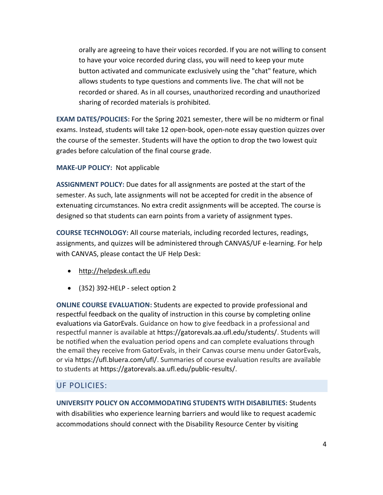orally are agreeing to have their voices recorded. If you are not willing to consent to have your voice recorded during class, you will need to keep your mute button activated and communicate exclusively using the "chat" feature, which allows students to type questions and comments live. The chat will not be recorded or shared. As in all courses, unauthorized recording and unauthorized sharing of recorded materials is prohibited.

**EXAM DATES/POLICIES:** For the Spring 2021 semester, there will be no midterm or final exams. Instead, students will take 12 open-book, open-note essay question quizzes over the course of the semester. Students will have the option to drop the two lowest quiz grades before calculation of the final course grade.

**MAKE-UP POLICY:** Not applicable

**ASSIGNMENT POLICY:** Due dates for all assignments are posted at the start of the semester. As such, late assignments will not be accepted for credit in the absence of extenuating circumstances. No extra credit assignments will be accepted. The course is designed so that students can earn points from a variety of assignment types.

**COURSE TECHNOLOGY:** All course materials, including recorded lectures, readings, assignments, and quizzes will be administered through CANVAS/UF e-learning. For help with CANVAS, please contact the UF Help Desk:

- [http://helpdesk.ufl.edu](http://helpdesk.ufl.edu/)
- (352) 392-HELP select option 2

**ONLINE COURSE EVALUATION:** Students are expected to provide professional and respectful feedback on the quality of instruction in this course by completing online evaluations via GatorEvals. Guidance on how to give feedback in a professional and respectful manner is available at https://gatorevals.aa.ufl.edu/students/. Students will be notified when the evaluation period opens and can complete evaluations through the email they receive from GatorEvals, in their Canvas course menu under GatorEvals, or via https://ufl.bluera.com/ufl/. Summaries of course evaluation results are available to students at https://gatorevals.aa.ufl.edu/public-results/.

## UF POLICIES:

**UNIVERSITY POLICY ON ACCOMMODATING STUDENTS WITH DISABILITIES:** Students with disabilities who experience learning barriers and would like to request academic accommodations should connect with the Disability Resource Center by visiting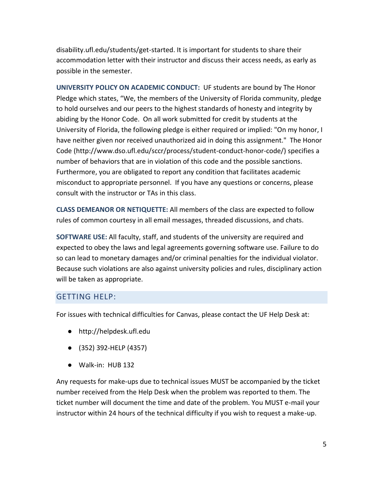disability.ufl.edu/students/get-started. It is important for students to share their accommodation letter with their instructor and discuss their access needs, as early as possible in the semester.

**UNIVERSITY POLICY ON ACADEMIC CONDUCT:** UF students are bound by The Honor Pledge which states, "We, the members of the University of Florida community, pledge to hold ourselves and our peers to the highest standards of honesty and integrity by abiding by the Honor Code. On all work submitted for credit by students at the University of Florida, the following pledge is either required or implied: "On my honor, I have neither given nor received unauthorized aid in doing this assignment." The Honor Code (http://www.dso.ufl.edu/sccr/process/student-conduct-honor-code/) specifies a number of behaviors that are in violation of this code and the possible sanctions. Furthermore, you are obligated to report any condition that facilitates academic misconduct to appropriate personnel. If you have any questions or concerns, please consult with the instructor or TAs in this class.

**CLASS DEMEANOR OR NETIQUETTE:** All members of the class are expected to follow rules of common courtesy in all email messages, threaded discussions, and chats.

**SOFTWARE USE:** All faculty, staff, and students of the university are required and expected to obey the laws and legal agreements governing software use. Failure to do so can lead to monetary damages and/or criminal penalties for the individual violator. Because such violations are also against university policies and rules, disciplinary action will be taken as appropriate.

## GETTING HELP:

For issues with technical difficulties for Canvas, please contact the UF Help Desk at:

- http://helpdesk.ufl.edu
- (352) 392-HELP (4357)
- Walk-in: HUB 132

Any requests for make-ups due to technical issues MUST be accompanied by the ticket number received from the Help Desk when the problem was reported to them. The ticket number will document the time and date of the problem. You MUST e-mail your instructor within 24 hours of the technical difficulty if you wish to request a make-up.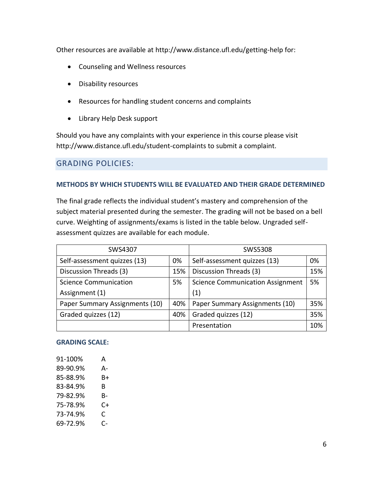Other resources are available at http://www.distance.ufl.edu/getting-help for:

- Counseling and Wellness resources
- Disability resources
- Resources for handling student concerns and complaints
- Library Help Desk support

Should you have any complaints with your experience in this course please visit http://www.distance.ufl.edu/student-complaints to submit a complaint.

## GRADING POLICIES:

#### **METHODS BY WHICH STUDENTS WILL BE EVALUATED AND THEIR GRADE DETERMINED**

The final grade reflects the individual student's mastery and comprehension of the subject material presented during the semester. The grading will not be based on a bell curve. Weighting of assignments/exams is listed in the table below. Ungraded selfassessment quizzes are available for each module.

| SWS4307                        |     | SWS5308                                 |     |
|--------------------------------|-----|-----------------------------------------|-----|
| Self-assessment quizzes (13)   | 0%  | Self-assessment quizzes (13)            | 0%  |
| Discussion Threads (3)         |     | Discussion Threads (3)                  | 15% |
| <b>Science Communication</b>   |     | <b>Science Communication Assignment</b> | 5%  |
| Assignment (1)                 |     | (1)                                     |     |
| Paper Summary Assignments (10) | 40% | Paper Summary Assignments (10)          | 35% |
| Graded quizzes (12)            | 40% | Graded quizzes (12)                     | 35% |
|                                |     | Presentation                            | 10% |

#### **GRADING SCALE:**

| 91-100%  | А  |
|----------|----|
| 89-90.9% | А- |
| 85-88.9% | B+ |
| 83-84.9% | B  |
| 79-82.9% | B- |
| 75-78.9% | C+ |
| 73-74.9% | C  |
| 69-72.9% | C- |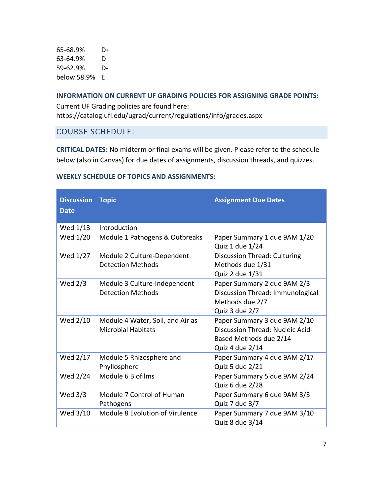65-68.9% D+ 63-64.9% D 59-62.9% Dbelow 58.9% E

#### **INFORMATION ON CURRENT UF GRADING POLICIES FOR ASSIGNING GRADE POINTS:**

Current UF Grading policies are found here: https://catalog.ufl.edu/ugrad/current/regulations/info/grades.aspx

## COURSE SCHEDULE:

**CRITICAL DATES:** No midterm or final exams will be given. Please refer to the schedule below (also in Canvas) for due dates of assignments, discussion threads, and quizzes.

| <b>Discussion</b><br><b>Date</b> | <b>Topic</b>                                                  | <b>Assignment Due Dates</b>                                                                                   |
|----------------------------------|---------------------------------------------------------------|---------------------------------------------------------------------------------------------------------------|
| Wed 1/13                         | Introduction                                                  |                                                                                                               |
| Wed 1/20                         | Module 1 Pathogens & Outbreaks                                | Paper Summary 1 due 9AM 1/20<br>Quiz 1 due 1/24                                                               |
| Wed 1/27                         | Module 2 Culture-Dependent<br><b>Detection Methods</b>        | <b>Discussion Thread: Culturing</b><br>Methods due 1/31<br>Quiz 2 due 1/31                                    |
| Wed 2/3                          | Module 3 Culture-Independent<br><b>Detection Methods</b>      | Paper Summary 2 due 9AM 2/3<br>Discussion Thread: Immunological<br>Methods due 2/7<br>Quiz 3 due 2/7          |
| Wed 2/10                         | Module 4 Water, Soil, and Air as<br><b>Microbial Habitats</b> | Paper Summary 3 due 9AM 2/10<br>Discussion Thread: Nucleic Acid-<br>Based Methods due 2/14<br>Quiz 4 due 2/14 |
| Wed 2/17                         | Module 5 Rhizosphere and<br>Phyllosphere                      | Paper Summary 4 due 9AM 2/17<br>Quiz 5 due 2/21                                                               |
| Wed 2/24                         | Module 6 Biofilms                                             | Paper Summary 5 due 9AM 2/24<br>Quiz 6 due 2/28                                                               |
| Wed $3/3$                        | Module 7 Control of Human<br>Pathogens                        | Paper Summary 6 due 9AM 3/3<br>Quiz 7 due 3/7                                                                 |
| Wed 3/10                         | Module 8 Evolution of Virulence                               | Paper Summary 7 due 9AM 3/10<br>Quiz 8 due 3/14                                                               |

#### **WEEKLY SCHEDULE OF TOPICS AND ASSIGNMENTS:**